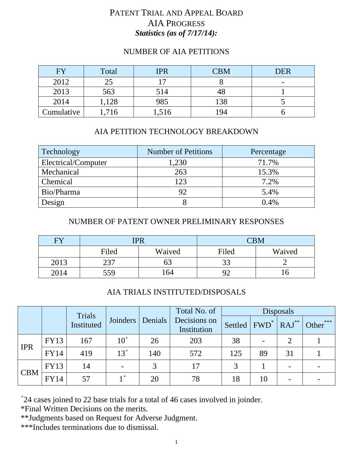## PATENT TRIAL AND APPEAL BOARD AIA PROGRESS *Statistics (as of 7/17/14):*

### NUMBER OF AIA PETITIONS

| FY         | Total | <b>IPR</b> | <b>CBM</b> | <b>DER</b> |
|------------|-------|------------|------------|------------|
| 2012       |       |            |            | -          |
| 2013       | 563   | 514        |            |            |
| 2014       | 1,128 | 985        | 138        |            |
| Cumulative | 1,716 | 1,516      | 194        |            |

## AIA PETITION TECHNOLOGY BREAKDOWN

| Technology          | <b>Number of Petitions</b> | Percentage |
|---------------------|----------------------------|------------|
| Electrical/Computer | 1,230                      | 71.7%      |
| Mechanical          | 263                        | 15.3%      |
| Chemical            | 123                        | 7.2%       |
| Bio/Pharma          | 92                         | 5.4%       |
| Design              |                            | 0.4%       |

#### NUMBER OF PATENT OWNER PRELIMINARY RESPONSES

| <b>FV</b> | <b>IPR</b> |        | CBM      |        |
|-----------|------------|--------|----------|--------|
|           | Filed      | Waived | Filed    | Waived |
| 2013      | าวา        |        | 22<br>JJ |        |
| 2014      | 559        | 164    | 92       |        |

#### AIA TRIALS INSTITUTED/DISPOSALS

|            |             | Trials     |                 |         | Total No. of<br><b>Disposals</b> |                                                            |    |    |          |
|------------|-------------|------------|-----------------|---------|----------------------------------|------------------------------------------------------------|----|----|----------|
|            |             | Instituted | <b>Joinders</b> | Denials | Decisions on<br>Institution      | Settled $\vert$ FWD <sup>*</sup> $\vert$ RAJ <sup>**</sup> |    |    | Other*** |
| <b>IPR</b> | FY13        | 167        | $10^+$          | 26      | 203                              | 38                                                         |    |    |          |
|            | <b>FY14</b> | 419        | $13^{+}$        | 140     | 572                              | 125                                                        | 89 | 31 |          |
| <b>CBM</b> | FY13        | 14         |                 |         | 17                               | 3                                                          |    |    |          |
|            | <b>FY14</b> | 57         | $+$             | 20      | 78                               | 18                                                         | 10 |    |          |

+ 24 cases joined to 22 base trials for a total of 46 cases involved in joinder.

\*Final Written Decisions on the merits.

\*\*Judgments based on Request for Adverse Judgment.

\*\*\*Includes terminations due to dismissal.